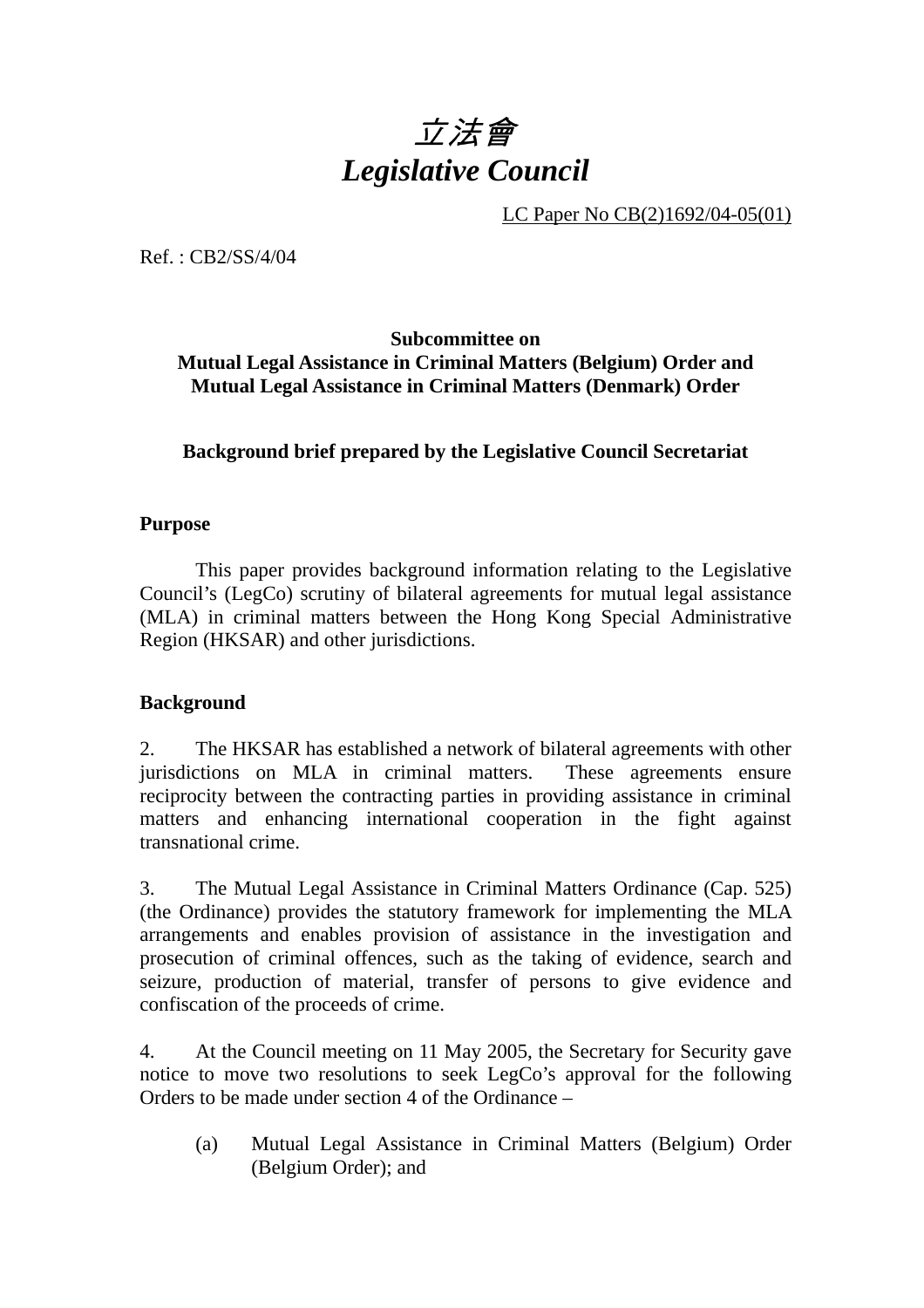# 立法會 *Legislative Council*

LC Paper No CB(2)1692/04-05(01)

Ref. : CB2/SS/4/04

**Subcommittee on Mutual Legal Assistance in Criminal Matters (Belgium) Order and Mutual Legal Assistance in Criminal Matters (Denmark) Order** 

## **Background brief prepared by the Legislative Council Secretariat**

#### **Purpose**

1. This paper provides background information relating to the Legislative Council's (LegCo) scrutiny of bilateral agreements for mutual legal assistance (MLA) in criminal matters between the Hong Kong Special Administrative Region (HKSAR) and other jurisdictions.

#### **Background**

2. The HKSAR has established a network of bilateral agreements with other jurisdictions on MLA in criminal matters. These agreements ensure reciprocity between the contracting parties in providing assistance in criminal matters and enhancing international cooperation in the fight against transnational crime.

3. The Mutual Legal Assistance in Criminal Matters Ordinance (Cap. 525) (the Ordinance) provides the statutory framework for implementing the MLA arrangements and enables provision of assistance in the investigation and prosecution of criminal offences, such as the taking of evidence, search and seizure, production of material, transfer of persons to give evidence and confiscation of the proceeds of crime.

4. At the Council meeting on 11 May 2005, the Secretary for Security gave notice to move two resolutions to seek LegCo's approval for the following Orders to be made under section 4 of the Ordinance –

(a) Mutual Legal Assistance in Criminal Matters (Belgium) Order (Belgium Order); and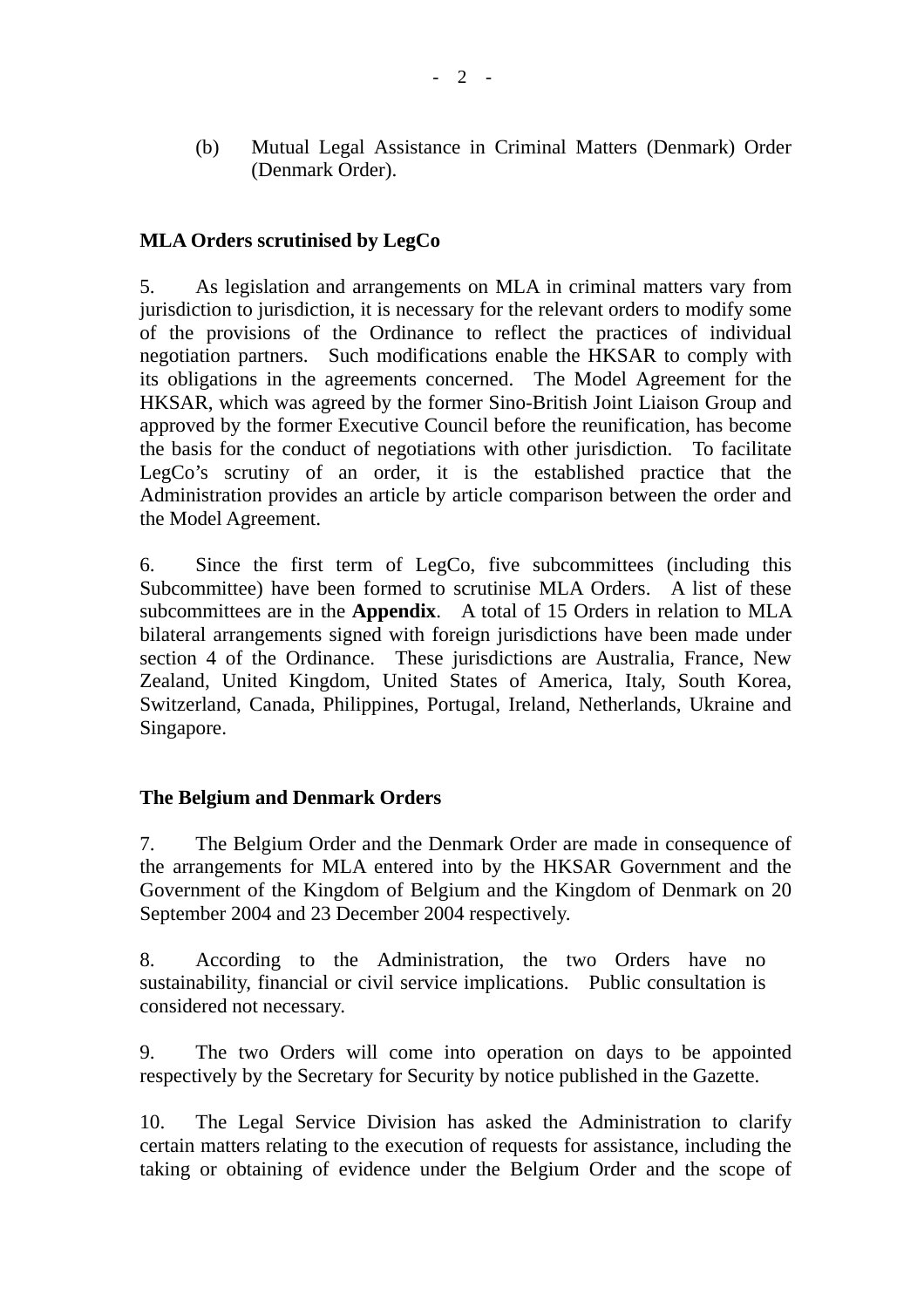(b) Mutual Legal Assistance in Criminal Matters (Denmark) Order (Denmark Order).

### **MLA Orders scrutinised by LegCo**

5. As legislation and arrangements on MLA in criminal matters vary from jurisdiction to jurisdiction, it is necessary for the relevant orders to modify some of the provisions of the Ordinance to reflect the practices of individual negotiation partners. Such modifications enable the HKSAR to comply with its obligations in the agreements concerned. The Model Agreement for the HKSAR, which was agreed by the former Sino-British Joint Liaison Group and approved by the former Executive Council before the reunification, has become the basis for the conduct of negotiations with other jurisdiction. To facilitate LegCo's scrutiny of an order, it is the established practice that the Administration provides an article by article comparison between the order and the Model Agreement.

6. Since the first term of LegCo, five subcommittees (including this Subcommittee) have been formed to scrutinise MLA Orders. A list of these subcommittees are in the **Appendix**. A total of 15 Orders in relation to MLA bilateral arrangements signed with foreign jurisdictions have been made under section 4 of the Ordinance. These jurisdictions are Australia, France, New Zealand, United Kingdom, United States of America, Italy, South Korea, Switzerland, Canada, Philippines, Portugal, Ireland, Netherlands, Ukraine and Singapore.

#### **The Belgium and Denmark Orders**

7. The Belgium Order and the Denmark Order are made in consequence of the arrangements for MLA entered into by the HKSAR Government and the Government of the Kingdom of Belgium and the Kingdom of Denmark on 20 September 2004 and 23 December 2004 respectively.

8. According to the Administration, the two Orders have no sustainability, financial or civil service implications. Public consultation is considered not necessary.

9. The two Orders will come into operation on days to be appointed respectively by the Secretary for Security by notice published in the Gazette.

10. The Legal Service Division has asked the Administration to clarify certain matters relating to the execution of requests for assistance, including the taking or obtaining of evidence under the Belgium Order and the scope of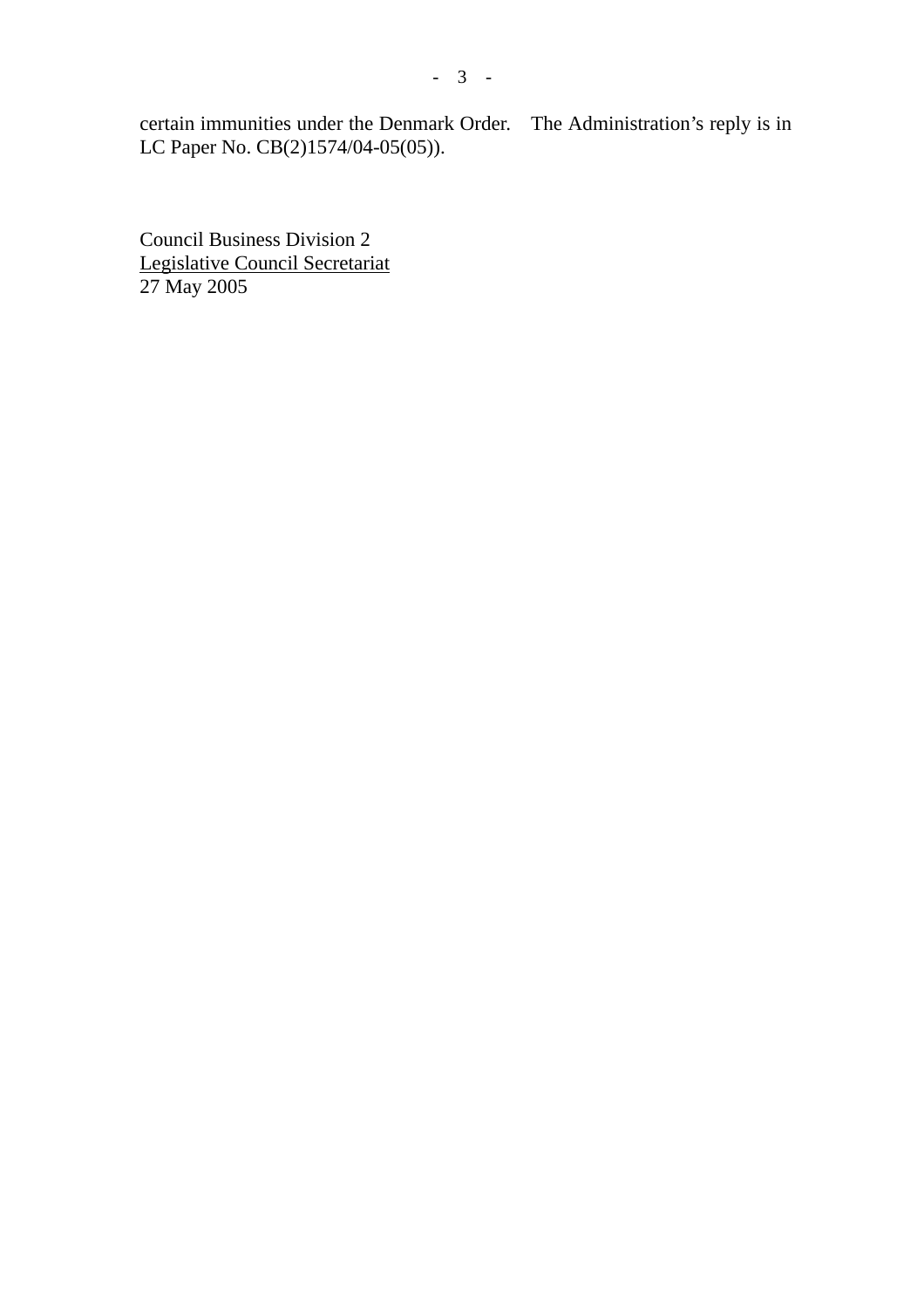certain immunities under the Denmark Order. The Administration's reply is in LC Paper No. CB(2)1574/04-05(05)).

Council Business Division 2 Legislative Council Secretariat 27 May 2005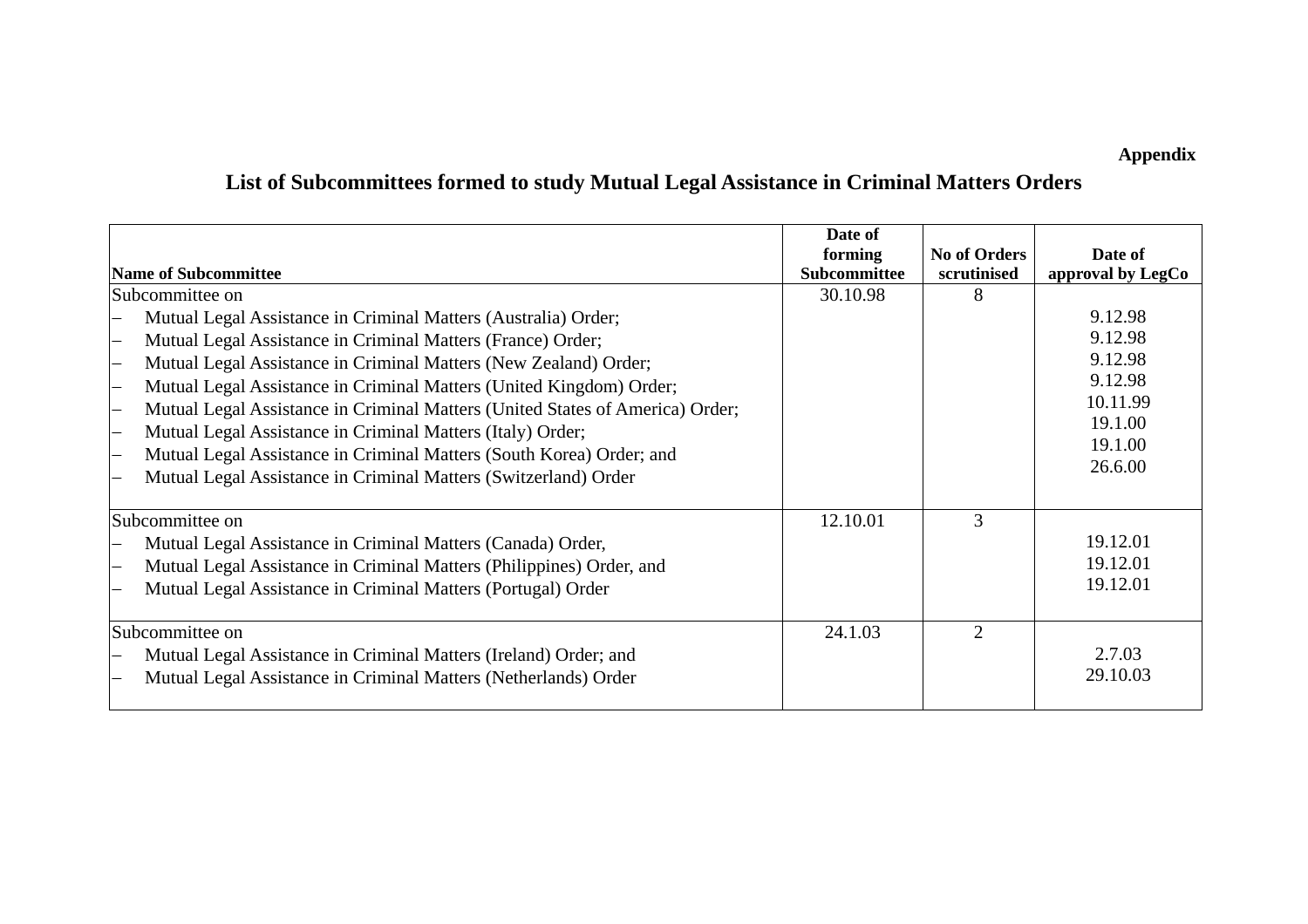**Appendix** 

# **List of Subcommittees formed to study Mutual Legal Assistance in Criminal Matters Orders**

| Name of Subcommittee                                                                                                                                                                                                                                                                                                                                                                                                                                                                                                                                               | Date of<br>forming<br>Subcommittee | <b>No of Orders</b><br>scrutinised | Date of<br>approval by LegCo                                                          |
|--------------------------------------------------------------------------------------------------------------------------------------------------------------------------------------------------------------------------------------------------------------------------------------------------------------------------------------------------------------------------------------------------------------------------------------------------------------------------------------------------------------------------------------------------------------------|------------------------------------|------------------------------------|---------------------------------------------------------------------------------------|
| Subcommittee on                                                                                                                                                                                                                                                                                                                                                                                                                                                                                                                                                    | 30.10.98                           |                                    |                                                                                       |
| Mutual Legal Assistance in Criminal Matters (Australia) Order;<br>Mutual Legal Assistance in Criminal Matters (France) Order;<br>Mutual Legal Assistance in Criminal Matters (New Zealand) Order;<br>Mutual Legal Assistance in Criminal Matters (United Kingdom) Order;<br>Mutual Legal Assistance in Criminal Matters (United States of America) Order;<br>Mutual Legal Assistance in Criminal Matters (Italy) Order;<br>Mutual Legal Assistance in Criminal Matters (South Korea) Order; and<br>Mutual Legal Assistance in Criminal Matters (Switzerland) Order |                                    |                                    | 9.12.98<br>9.12.98<br>9.12.98<br>9.12.98<br>10.11.99<br>19.1.00<br>19.1.00<br>26.6.00 |
| Subcommittee on<br>Mutual Legal Assistance in Criminal Matters (Canada) Order,<br>Mutual Legal Assistance in Criminal Matters (Philippines) Order, and<br>Mutual Legal Assistance in Criminal Matters (Portugal) Order                                                                                                                                                                                                                                                                                                                                             | 12.10.01                           | 3                                  | 19.12.01<br>19.12.01<br>19.12.01                                                      |
| Subcommittee on<br>Mutual Legal Assistance in Criminal Matters (Ireland) Order; and<br>Mutual Legal Assistance in Criminal Matters (Netherlands) Order                                                                                                                                                                                                                                                                                                                                                                                                             | 24.1.03                            | $\mathcal{D}_{\mathcal{A}}$        | 2.7.03<br>29.10.03                                                                    |